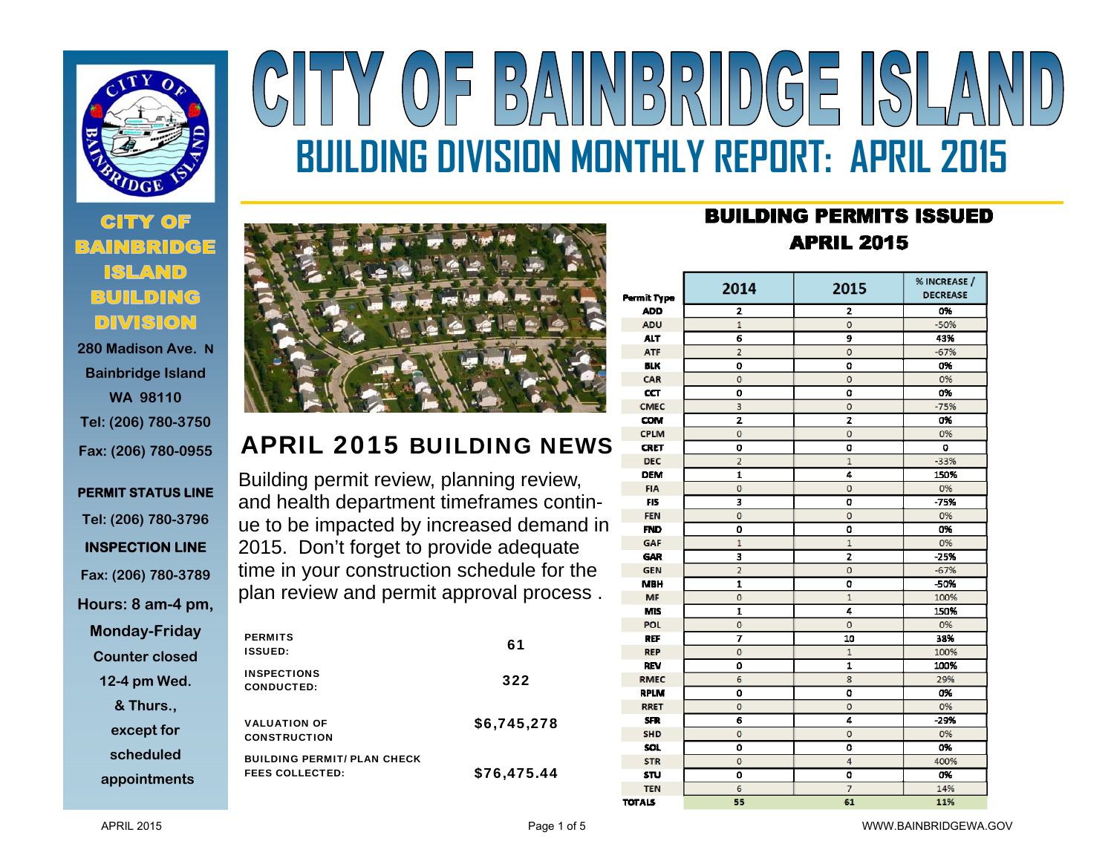

 **280 Madison Ave. NBainbridge Island WA 98110 Tel: (206) 780-3750 Fax: (206) 780-0955** 

# **PERMIT STATUS LINE Tel: (206) 780-3796 INSPECTION LINE Fax: (206) 780-3789 Hours: 8 am-4 pm, Monday-Friday Counter closed 12-4 pm Wed. & Thurs., except for scheduled**

**appointments**



# APRIL 2015 BUILDING NEWS

Building permit review, planning review, and health department timeframes continue to be impacted by increased demand in 2015. Don't forget to provide adequate time in your construction schedule for the plan review and permit approval process .

| <b>PERMITS</b><br><b>ISSUED:</b>                             | 61          |
|--------------------------------------------------------------|-------------|
| <b>INSPECTIONS</b><br><b>CONDUCTED:</b>                      | 322         |
| <b>VALUATION OF</b><br><b>CONSTRUCTION</b>                   | \$6,745,278 |
| <b>BUILDING PERMIT/ PLAN CHECK</b><br><b>FEES COLLECTED:</b> | \$76,475.44 |

# **BUILDING PERMITS ISSUED APRIL 2015**

**BUILDING DIVISION MONTHLY REPORT: APRIL 2015** 

BAINBRIDGE ISLA

| Permit Type   | 2014           | 2015           | % INCREASE /<br><b>DECREASE</b> |
|---------------|----------------|----------------|---------------------------------|
| <b>ADD</b>    | 2              | 2              | 0%                              |
| <b>ADU</b>    | $\overline{1}$ | $\mathbf 0$    | $-50%$                          |
| <b>ALT</b>    | 6              | 9              | 43%                             |
| <b>ATF</b>    | $\overline{a}$ | $\mathbf 0$    | $-67%$                          |
| <b>BLK</b>    | O              | O              | 0%                              |
| CAR           | O              | Ō              | 0%                              |
| CT            | 0              | 0              | 0%                              |
| <b>CMEC</b>   | 3              | $\mathbf 0$    | $-75%$                          |
| COM           | $\overline{2}$ | 2              | 0%                              |
| <b>CPLM</b>   | $\mathbf 0$    | o              | 0%                              |
| <b>CRET</b>   | O              | O              | O                               |
| <b>DEC</b>    | $\overline{2}$ | $\mathbf{1}$   | $-33%$                          |
| <b>DEM</b>    | 1              | 4              | 150%                            |
| <b>FIA</b>    | $\bf{0}$       | o              | 0%                              |
| <b>FIS</b>    | 3              | O              | $-75%$                          |
| <b>FEN</b>    | $\mathbf 0$    | $\mathbf 0$    | 0%                              |
| <b>FND</b>    | 0              | 0              | 0%                              |
| <b>GAF</b>    | $\mathbf{1}$   | $\overline{1}$ | 0%                              |
| <b>GAR</b>    | 3              | $\overline{z}$ | $-25%$                          |
| <b>GEN</b>    | $\overline{2}$ | Ō              | $-67%$                          |
| <b>MBH</b>    | $\mathbf{1}$   | O              | -50%                            |
| MF            | $\mathbf{0}$   | $\overline{1}$ | 100%                            |
| <b>MIS</b>    | $\mathbf{1}$   | 4              | 150%                            |
| <b>POL</b>    | $\mathbf{0}$   | Ō              | 0%                              |
| <b>REF</b>    | 7              | 10             | 38%                             |
| <b>REP</b>    | $\mathbf{0}$   | $\overline{1}$ | 100%                            |
| <b>REV</b>    | ٥              | 1              | 100%                            |
| <b>RMEC</b>   | 6              | 8              | 29%                             |
| <b>RPLM</b>   | ٥              | O              | 0%                              |
| <b>RRET</b>   | $\mathbf 0$    | $\mathbf 0$    | 0%                              |
| <b>SFR</b>    | 6              | 4              | $-29%$                          |
| <b>SHD</b>    | O              | Ō              | 0%                              |
| SOL.          | 0              | O              | 0%                              |
| <b>STR</b>    | $\mathbf{0}$   | 4              | 400%                            |
| <b>STU</b>    | 0              | O              | 0%                              |
| <b>TEN</b>    | 6              | 7              | 14%                             |
| <b>TOTALS</b> | 55             | 61             | 11%                             |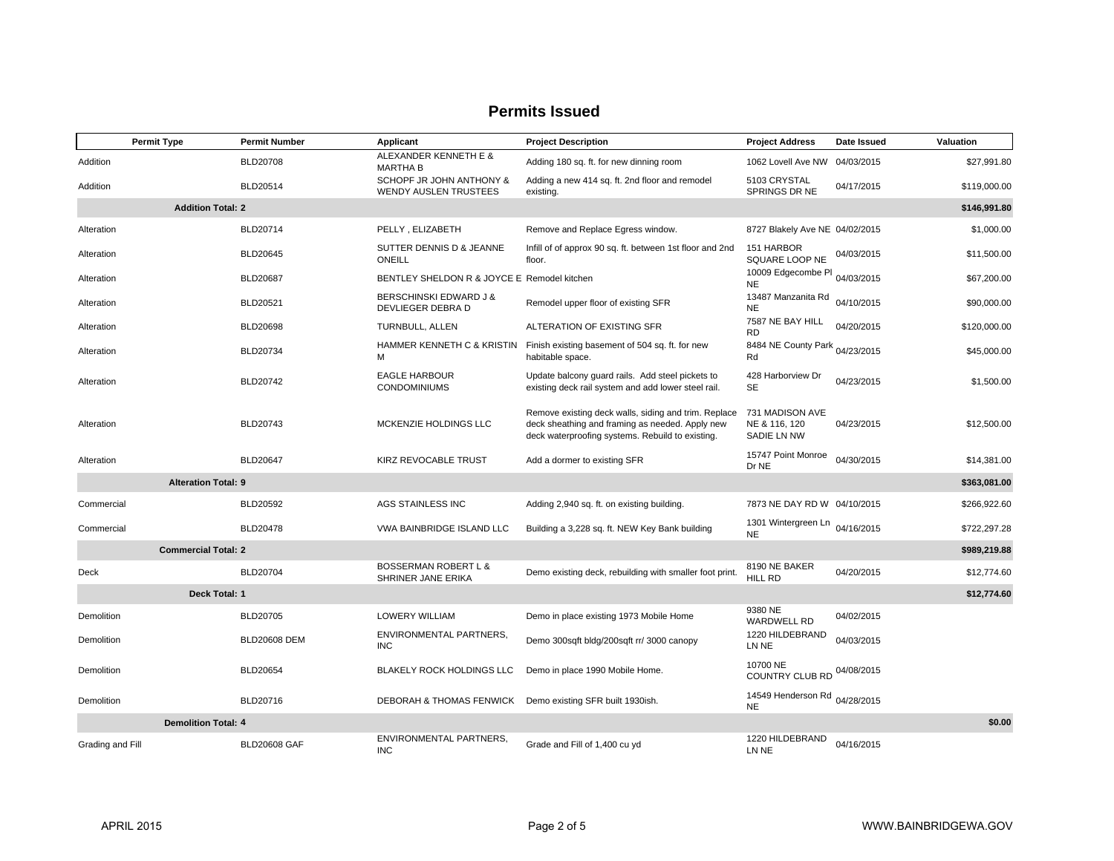### **Permits Issued**

|                  | <b>Permit Type</b>         | <b>Permit Number</b> | Applicant                                                 | <b>Project Description</b>                                                                                                                                  | <b>Project Address</b>                          | Date Issued | Valuation    |
|------------------|----------------------------|----------------------|-----------------------------------------------------------|-------------------------------------------------------------------------------------------------------------------------------------------------------------|-------------------------------------------------|-------------|--------------|
| Addition         |                            | <b>BLD20708</b>      | ALEXANDER KENNETH E &<br><b>MARTHA B</b>                  | Adding 180 sq. ft. for new dinning room                                                                                                                     | 1062 Lovell Ave NW                              | 04/03/2015  | \$27,991.80  |
| Addition         |                            | BLD20514             | SCHOPF JR JOHN ANTHONY &<br><b>WENDY AUSLEN TRUSTEES</b>  | Adding a new 414 sq. ft. 2nd floor and remodel<br>existing.                                                                                                 | 5103 CRYSTAL<br>SPRINGS DR NE                   | 04/17/2015  | \$119,000.00 |
|                  | <b>Addition Total: 2</b>   |                      |                                                           |                                                                                                                                                             |                                                 |             | \$146,991.80 |
| Alteration       |                            | <b>BLD20714</b>      | PELLY, ELIZABETH                                          | Remove and Replace Egress window.                                                                                                                           | 8727 Blakely Ave NE 04/02/2015                  |             | \$1,000.00   |
| Alteration       |                            | <b>BLD20645</b>      | SUTTER DENNIS D & JEANNE<br>ONEILL                        | Infill of of approx 90 sq. ft. between 1st floor and 2nd<br>floor.                                                                                          | 151 HARBOR<br>SQUARE LOOP NE                    | 04/03/2015  | \$11,500.00  |
| Alteration       |                            | <b>BLD20687</b>      | BENTLEY SHELDON R & JOYCE E Remodel kitchen               |                                                                                                                                                             | 10009 Edgecombe PI<br><b>NE</b>                 | 04/03/2015  | \$67,200.00  |
| Alteration       |                            | <b>BLD20521</b>      | BERSCHINSKI EDWARD J &<br>DEVLIEGER DEBRA D               | Remodel upper floor of existing SFR                                                                                                                         | 13487 Manzanita Rd<br><b>NE</b>                 | 04/10/2015  | \$90,000.00  |
| Alteration       |                            | <b>BLD20698</b>      | TURNBULL, ALLEN                                           | ALTERATION OF EXISTING SFR                                                                                                                                  | 7587 NE BAY HILL<br><b>RD</b>                   | 04/20/2015  | \$120,000.00 |
| Alteration       |                            | <b>BLD20734</b>      | HAMMER KENNETH C & KRISTIN<br>м                           | Finish existing basement of 504 sq. ft. for new<br>habitable space.                                                                                         | 8484 NE County Park 04/23/2015<br>Rd            |             | \$45,000.00  |
| Alteration       |                            | BLD20742             | <b>EAGLE HARBOUR</b><br><b>CONDOMINIUMS</b>               | Update balcony guard rails. Add steel pickets to<br>existing deck rail system and add lower steel rail.                                                     | 428 Harborview Dr<br><b>SE</b>                  | 04/23/2015  | \$1,500.00   |
| Alteration       |                            | BLD20743             | MCKENZIE HOLDINGS LLC                                     | Remove existing deck walls, siding and trim. Replace<br>deck sheathing and framing as needed. Apply new<br>deck waterproofing systems. Rebuild to existing. | 731 MADISON AVE<br>NE & 116, 120<br>SADIE LN NW | 04/23/2015  | \$12,500.00  |
| Alteration       |                            | <b>BLD20647</b>      | KIRZ REVOCABLE TRUST                                      | Add a dormer to existing SFR                                                                                                                                | 15747 Point Monroe<br>Dr NE                     | 04/30/2015  | \$14,381.00  |
|                  | <b>Alteration Total: 9</b> |                      |                                                           |                                                                                                                                                             |                                                 |             | \$363,081.00 |
| Commercial       |                            | BLD20592             | AGS STAINLESS INC                                         | Adding 2,940 sq. ft. on existing building.                                                                                                                  | 7873 NE DAY RD W 04/10/2015                     |             | \$266,922.60 |
| Commercial       |                            | <b>BLD20478</b>      | VWA BAINBRIDGE ISLAND LLC                                 | Building a 3,228 sq. ft. NEW Key Bank building                                                                                                              | 1301 Wintergreen Ln<br><b>NE</b>                | 04/16/2015  | \$722,297.28 |
|                  | <b>Commercial Total: 2</b> |                      |                                                           |                                                                                                                                                             |                                                 |             | \$989,219.88 |
| Deck             |                            | <b>BLD20704</b>      | <b>BOSSERMAN ROBERT L &amp;</b><br>SHRINER JANE ERIKA     | Demo existing deck, rebuilding with smaller foot print.                                                                                                     | 8190 NE BAKER<br><b>HILL RD</b>                 | 04/20/2015  | \$12,774.60  |
|                  | Deck Total: 1              |                      |                                                           |                                                                                                                                                             |                                                 |             | \$12,774.60  |
| Demolition       |                            | BLD20705             | LOWERY WILLIAM                                            | Demo in place existing 1973 Mobile Home                                                                                                                     | 9380 NE<br><b>WARDWELL RD</b>                   | 04/02/2015  |              |
| Demolition       |                            | <b>BLD20608 DEM</b>  | ENVIRONMENTAL PARTNERS,<br><b>INC</b>                     | Demo 300sqft bldg/200sqft rr/ 3000 canopy                                                                                                                   | 1220 HILDEBRAND<br>LN NE                        | 04/03/2015  |              |
| Demolition       |                            | <b>BLD20654</b>      | BLAKELY ROCK HOLDINGS LLC                                 | Demo in place 1990 Mobile Home.                                                                                                                             | 10700 NE<br>COUNTRY CLUB RD                     | 04/08/2015  |              |
| Demolition       |                            | BLD20716             | DEBORAH & THOMAS FENWICK Demo existing SFR built 1930ish. |                                                                                                                                                             | 14549 Henderson Rd<br><b>NE</b>                 | 04/28/2015  |              |
|                  | <b>Demolition Total: 4</b> |                      |                                                           |                                                                                                                                                             |                                                 |             | \$0.00       |
| Grading and Fill |                            | <b>BLD20608 GAF</b>  | ENVIRONMENTAL PARTNERS,<br><b>INC</b>                     | Grade and Fill of 1,400 cu yd                                                                                                                               | 1220 HILDEBRAND<br>LN NE                        | 04/16/2015  |              |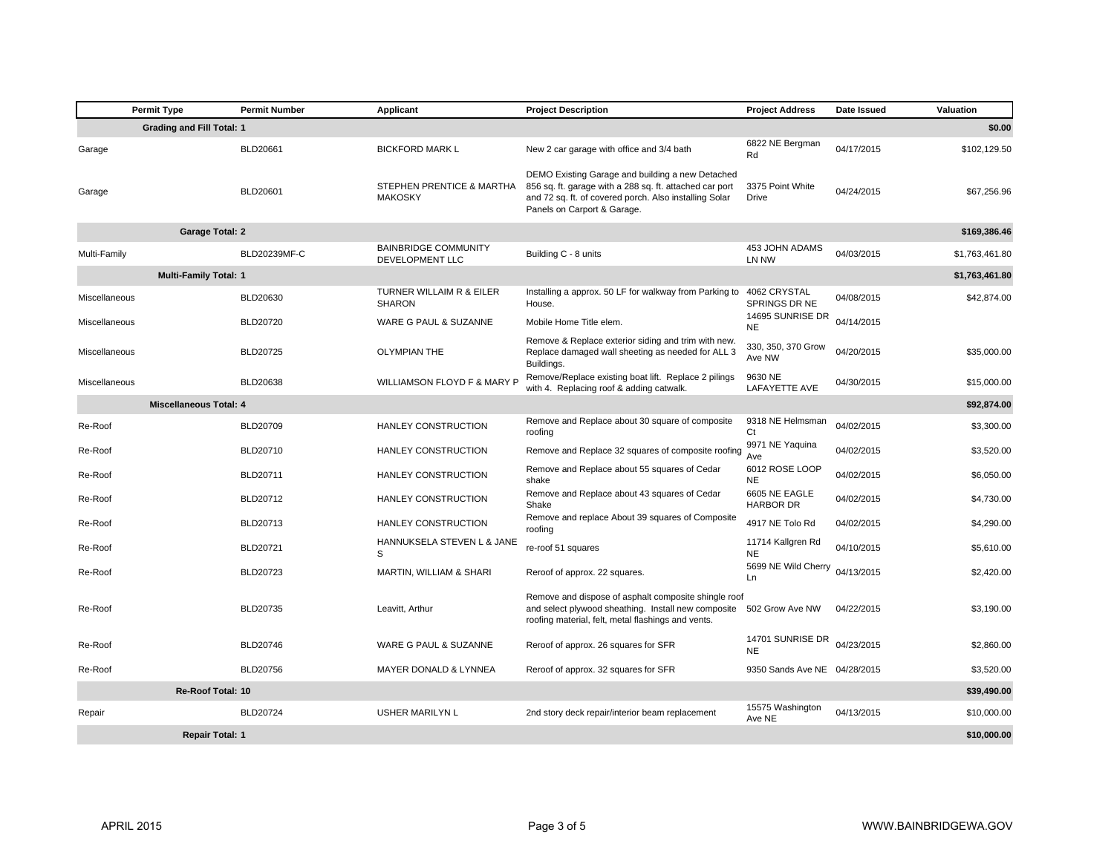| <b>Permit Type</b>                         | <b>Permit Number</b> | Applicant                                      | <b>Project Description</b>                                                                                                                                                                           | <b>Project Address</b>               | Date Issued | Valuation      |
|--------------------------------------------|----------------------|------------------------------------------------|------------------------------------------------------------------------------------------------------------------------------------------------------------------------------------------------------|--------------------------------------|-------------|----------------|
| <b>Grading and Fill Total: 1</b><br>\$0.00 |                      |                                                |                                                                                                                                                                                                      |                                      |             |                |
| Garage                                     | BLD20661             | <b>BICKFORD MARK L</b>                         | New 2 car garage with office and 3/4 bath                                                                                                                                                            | 6822 NE Bergman<br>Rd                | 04/17/2015  | \$102,129.50   |
| Garage                                     | BLD20601             | STEPHEN PRENTICE & MARTHA<br><b>MAKOSKY</b>    | DEMO Existing Garage and building a new Detached<br>856 sq. ft. garage with a 288 sq. ft. attached car port<br>and 72 sq. ft. of covered porch. Also installing Solar<br>Panels on Carport & Garage. | 3375 Point White<br>Drive            | 04/24/2015  | \$67,256.96    |
| <b>Garage Total: 2</b>                     |                      |                                                |                                                                                                                                                                                                      |                                      |             | \$169,386.46   |
| Multi-Family                               | BLD20239MF-C         | <b>BAINBRIDGE COMMUNITY</b><br>DEVELOPMENT LLC | Building C - 8 units                                                                                                                                                                                 | 453 JOHN ADAMS<br>LN NW              | 04/03/2015  | \$1,763,461.80 |
| <b>Multi-Family Total: 1</b>               |                      |                                                |                                                                                                                                                                                                      |                                      |             | \$1,763,461.80 |
| Miscellaneous                              | BLD20630             | TURNER WILLAIM R & EILER<br><b>SHARON</b>      | Installing a approx. 50 LF for walkway from Parking to<br>House.                                                                                                                                     | 4062 CRYSTAL<br><b>SPRINGS DR NE</b> | 04/08/2015  | \$42,874.00    |
| Miscellaneous                              | BLD20720             | WARE G PAUL & SUZANNE                          | Mobile Home Title elem.                                                                                                                                                                              | 14695 SUNRISE DR<br><b>NE</b>        | 04/14/2015  |                |
| Miscellaneous                              | BLD20725             | <b>OLYMPIAN THE</b>                            | Remove & Replace exterior siding and trim with new.<br>Replace damaged wall sheeting as needed for ALL 3<br>Buildings.                                                                               | 330, 350, 370 Grow<br>Ave NW         | 04/20/2015  | \$35,000.00    |
| Miscellaneous                              | BLD20638             | WILLIAMSON FLOYD F & MARY P                    | Remove/Replace existing boat lift. Replace 2 pilings<br>with 4. Replacing roof & adding catwalk.                                                                                                     | 9630 NE<br>LAFAYETTE AVE             | 04/30/2015  | \$15,000.00    |
| <b>Miscellaneous Total: 4</b>              |                      |                                                |                                                                                                                                                                                                      |                                      |             | \$92,874.00    |
| Re-Roof                                    | BLD20709             | HANLEY CONSTRUCTION                            | Remove and Replace about 30 square of composite<br>roofing                                                                                                                                           | 9318 NE Helmsman<br>Ct               | 04/02/2015  | \$3,300.00     |
| Re-Roof                                    | BLD20710             | HANLEY CONSTRUCTION                            | Remove and Replace 32 squares of composite roofing                                                                                                                                                   | 9971 NE Yaquina<br>Ave               | 04/02/2015  | \$3,520.00     |
| Re-Roof                                    | BLD20711             | HANLEY CONSTRUCTION                            | Remove and Replace about 55 squares of Cedar<br>shake                                                                                                                                                | 6012 ROSE LOOP<br><b>NE</b>          | 04/02/2015  | \$6,050.00     |
| Re-Roof                                    | BLD20712             | HANLEY CONSTRUCTION                            | Remove and Replace about 43 squares of Cedar<br>Shake                                                                                                                                                | 6605 NE EAGLE<br><b>HARBOR DR</b>    | 04/02/2015  | \$4,730.00     |
| Re-Roof                                    | BLD20713             | HANLEY CONSTRUCTION                            | Remove and replace About 39 squares of Composite<br>roofing                                                                                                                                          | 4917 NE Tolo Rd                      | 04/02/2015  | \$4,290.00     |
| Re-Roof                                    | BLD20721             | HANNUKSELA STEVEN L & JANE<br>S                | re-roof 51 squares                                                                                                                                                                                   | 11714 Kallgren Rd<br><b>NE</b>       | 04/10/2015  | \$5,610.00     |
| Re-Roof                                    | <b>BLD20723</b>      | MARTIN, WILLIAM & SHARI                        | Reroof of approx. 22 squares.                                                                                                                                                                        | 5699 NE Wild Cherry<br>Ln            | 04/13/2015  | \$2,420.00     |
| Re-Roof                                    | BLD20735             | Leavitt, Arthur                                | Remove and dispose of asphalt composite shingle roof<br>and select plywood sheathing. Install new composite<br>roofing material, felt, metal flashings and vents.                                    | 502 Grow Ave NW                      | 04/22/2015  | \$3,190.00     |
| Re-Roof                                    | BLD20746             | WARE G PAUL & SUZANNE                          | Reroof of approx. 26 squares for SFR                                                                                                                                                                 | 14701 SUNRISE DR<br><b>NE</b>        | 04/23/2015  | \$2,860.00     |
| Re-Roof                                    | BLD20756             | MAYER DONALD & LYNNEA                          | Reroof of approx. 32 squares for SFR                                                                                                                                                                 | 9350 Sands Ave NE 04/28/2015         |             | \$3,520.00     |
| Re-Roof Total: 10<br>\$39,490.00           |                      |                                                |                                                                                                                                                                                                      |                                      |             |                |
| Repair                                     | <b>BLD20724</b>      | <b>USHER MARILYN L</b>                         | 2nd story deck repair/interior beam replacement                                                                                                                                                      | 15575 Washington<br>Ave NE           | 04/13/2015  | \$10,000.00    |
| <b>Repair Total: 1</b>                     |                      |                                                |                                                                                                                                                                                                      |                                      |             | \$10,000,00    |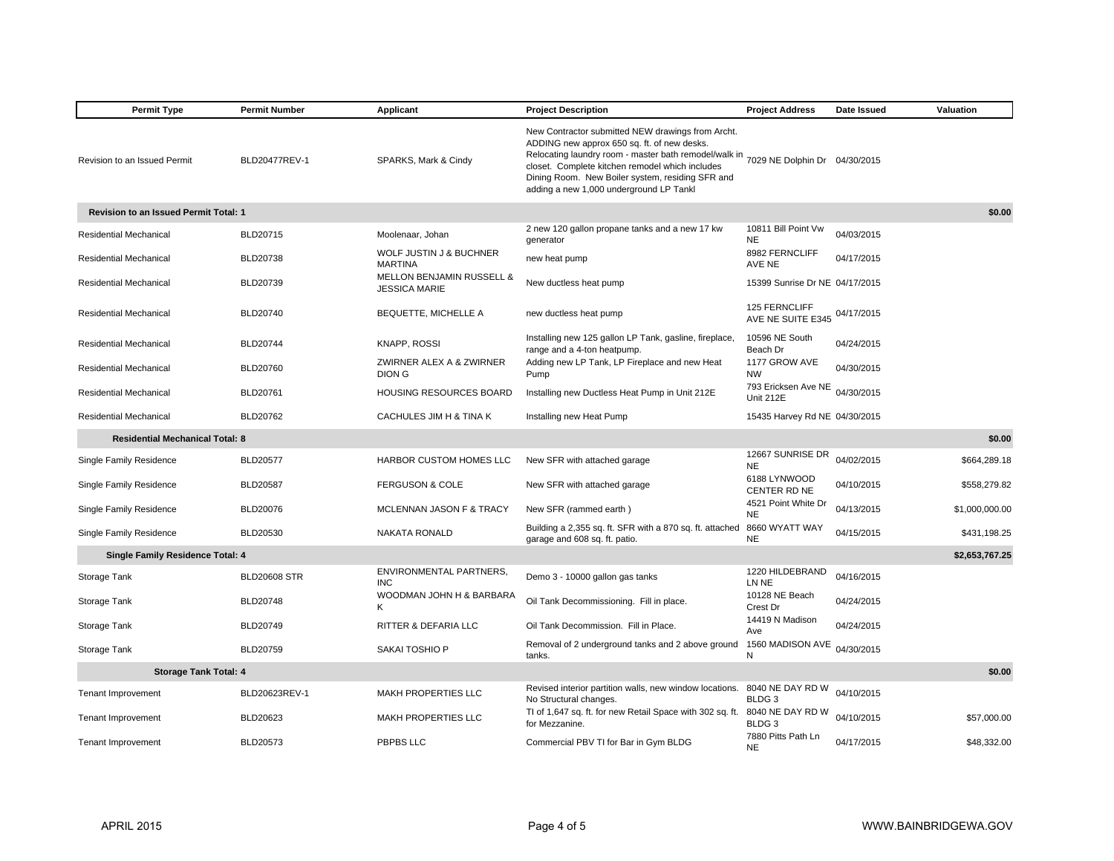| <b>Permit Type</b>                     | <b>Permit Number</b>                   | Applicant                                                    | <b>Project Description</b>                                                                                                                                                                                                                                                                                  | <b>Project Address</b>                  | Date Issued | Valuation      |  |
|----------------------------------------|----------------------------------------|--------------------------------------------------------------|-------------------------------------------------------------------------------------------------------------------------------------------------------------------------------------------------------------------------------------------------------------------------------------------------------------|-----------------------------------------|-------------|----------------|--|
| Revision to an Issued Permit           | BLD20477REV-1                          | SPARKS, Mark & Cindy                                         | New Contractor submitted NEW drawings from Archt.<br>ADDING new approx 650 sq. ft. of new desks.<br>Relocating laundry room - master bath remodel/walk in<br>closet. Complete kitchen remodel which includes<br>Dining Room. New Boiler system, residing SFR and<br>adding a new 1,000 underground LP Tankl | 7029 NE Dolphin Dr 04/30/2015           |             |                |  |
| Revision to an Issued Permit Total: 1  |                                        |                                                              |                                                                                                                                                                                                                                                                                                             |                                         |             | \$0.00         |  |
| Residential Mechanical                 | BLD20715                               | Moolenaar, Johan                                             | 2 new 120 gallon propane tanks and a new 17 kw<br>generator                                                                                                                                                                                                                                                 | 10811 Bill Point Vw<br><b>NE</b>        | 04/03/2015  |                |  |
| Residential Mechanical                 | BLD20738                               | WOLF JUSTIN J & BUCHNER<br><b>MARTINA</b>                    | new heat pump                                                                                                                                                                                                                                                                                               | 8982 FERNCLIFF<br>AVE NE                | 04/17/2015  |                |  |
| Residential Mechanical                 | BLD20739                               | <b>MELLON BENJAMIN RUSSELL &amp;</b><br><b>JESSICA MARIE</b> | New ductless heat pump                                                                                                                                                                                                                                                                                      | 15399 Sunrise Dr NE 04/17/2015          |             |                |  |
| Residential Mechanical                 | BLD20740                               | BEQUETTE, MICHELLE A                                         | new ductless heat pump                                                                                                                                                                                                                                                                                      | 125 FERNCLIFF<br>AVE NE SUITE E345      | 04/17/2015  |                |  |
| Residential Mechanical                 | BLD20744                               | <b>KNAPP, ROSSI</b>                                          | Installing new 125 gallon LP Tank, gasline, fireplace,<br>range and a 4-ton heatpump.                                                                                                                                                                                                                       | 10596 NE South<br>Beach Dr              | 04/24/2015  |                |  |
| Residential Mechanical                 | BLD20760                               | ZWIRNER ALEX A & ZWIRNER<br>DION G                           | Adding new LP Tank, LP Fireplace and new Heat<br>Pump                                                                                                                                                                                                                                                       | 1177 GROW AVE<br><b>NW</b>              | 04/30/2015  |                |  |
| Residential Mechanical                 | BLD20761                               | <b>HOUSING RESOURCES BOARD</b>                               | Installing new Ductless Heat Pump in Unit 212E                                                                                                                                                                                                                                                              | 793 Ericksen Ave NE<br><b>Unit 212E</b> | 04/30/2015  |                |  |
| Residential Mechanical                 | BLD20762                               | CACHULES JIM H & TINA K                                      | Installing new Heat Pump                                                                                                                                                                                                                                                                                    | 15435 Harvey Rd NE 04/30/2015           |             |                |  |
| <b>Residential Mechanical Total: 8</b> |                                        |                                                              |                                                                                                                                                                                                                                                                                                             |                                         |             | \$0.00         |  |
| Single Family Residence                | <b>BLD20577</b>                        | HARBOR CUSTOM HOMES LLC                                      | New SFR with attached garage                                                                                                                                                                                                                                                                                | 12667 SUNRISE DR<br><b>NE</b>           | 04/02/2015  | \$664,289.18   |  |
| Single Family Residence                | <b>BLD20587</b>                        | <b>FERGUSON &amp; COLE</b>                                   | New SFR with attached garage                                                                                                                                                                                                                                                                                | 6188 LYNWOOD<br>CENTER RD NE            | 04/10/2015  | \$558,279.82   |  |
| Single Family Residence                | <b>BLD20076</b>                        | MCLENNAN JASON F & TRACY                                     | New SFR (rammed earth)                                                                                                                                                                                                                                                                                      | 4521 Point White Dr<br><b>NE</b>        | 04/13/2015  | \$1,000,000.00 |  |
| Single Family Residence                | BLD20530                               | NAKATA RONALD                                                | Building a 2,355 sq. ft. SFR with a 870 sq. ft. attached<br>garage and 608 sq. ft. patio.                                                                                                                                                                                                                   | 8660 WYATT WAY<br><b>NE</b>             | 04/15/2015  | \$431,198.25   |  |
| Single Family Residence Total: 4       |                                        |                                                              |                                                                                                                                                                                                                                                                                                             |                                         |             | \$2,653,767.25 |  |
| Storage Tank                           | <b>BLD20608 STR</b>                    | ENVIRONMENTAL PARTNERS,<br><b>INC</b>                        | Demo 3 - 10000 gallon gas tanks                                                                                                                                                                                                                                                                             | 1220 HILDEBRAND<br>LN NE                | 04/16/2015  |                |  |
| Storage Tank                           | <b>BLD20748</b>                        | WOODMAN JOHN H & BARBARA<br>K                                | Oil Tank Decommissioning. Fill in place.                                                                                                                                                                                                                                                                    | 10128 NE Beach<br>Crest Dr              | 04/24/2015  |                |  |
| Storage Tank                           | BLD20749                               | <b>RITTER &amp; DEFARIA LLC</b>                              | Oil Tank Decommission. Fill in Place.                                                                                                                                                                                                                                                                       | 14419 N Madison<br>Ave                  | 04/24/2015  |                |  |
| Storage Tank                           | BLD20759                               | SAKAI TOSHIO P                                               | Removal of 2 underground tanks and 2 above ground<br>tanks.                                                                                                                                                                                                                                                 | 1560 MADISON AVE<br>N                   | 04/30/2015  |                |  |
|                                        | \$0.00<br><b>Storage Tank Total: 4</b> |                                                              |                                                                                                                                                                                                                                                                                                             |                                         |             |                |  |
| Tenant Improvement                     | BLD20623REV-1                          | MAKH PROPERTIES LLC                                          | Revised interior partition walls, new window locations.<br>No Structural changes.                                                                                                                                                                                                                           | 8040 NE DAY RD W<br>BLDG <sub>3</sub>   | 04/10/2015  |                |  |
| <b>Tenant Improvement</b>              | BLD20623                               | MAKH PROPERTIES LLC                                          | TI of 1,647 sq. ft. for new Retail Space with 302 sq. ft.<br>for Mezzanine.                                                                                                                                                                                                                                 | 8040 NE DAY RD W<br>BLDG <sub>3</sub>   | 04/10/2015  | \$57,000.00    |  |
| <b>Tenant Improvement</b>              | BLD20573                               | PBPBS LLC                                                    | Commercial PBV TI for Bar in Gym BLDG                                                                                                                                                                                                                                                                       | 7880 Pitts Path Ln<br><b>NE</b>         | 04/17/2015  | \$48,332.00    |  |